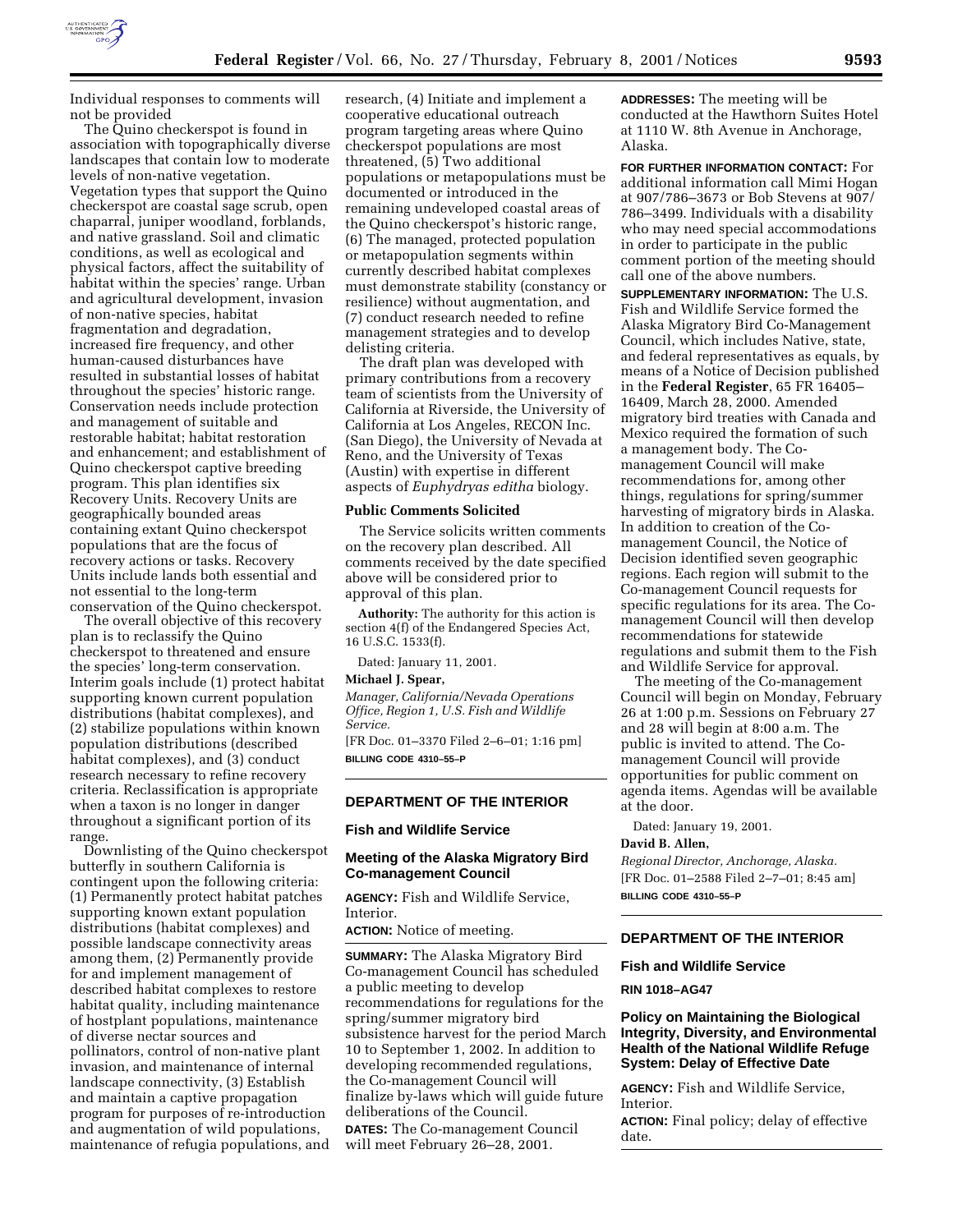

Individual responses to comments will not be provided

The Quino checkerspot is found in association with topographically diverse landscapes that contain low to moderate levels of non-native vegetation. Vegetation types that support the Quino checkerspot are coastal sage scrub, open chaparral, juniper woodland, forblands, and native grassland. Soil and climatic conditions, as well as ecological and physical factors, affect the suitability of habitat within the species' range. Urban and agricultural development, invasion of non-native species, habitat fragmentation and degradation, increased fire frequency, and other human-caused disturbances have resulted in substantial losses of habitat throughout the species' historic range. Conservation needs include protection and management of suitable and restorable habitat; habitat restoration and enhancement; and establishment of Quino checkerspot captive breeding program. This plan identifies six Recovery Units. Recovery Units are geographically bounded areas containing extant Quino checkerspot populations that are the focus of recovery actions or tasks. Recovery Units include lands both essential and not essential to the long-term conservation of the Quino checkerspot.

The overall objective of this recovery plan is to reclassify the Quino checkerspot to threatened and ensure the species' long-term conservation. Interim goals include (1) protect habitat supporting known current population distributions (habitat complexes), and (2) stabilize populations within known population distributions (described habitat complexes), and (3) conduct research necessary to refine recovery criteria. Reclassification is appropriate when a taxon is no longer in danger throughout a significant portion of its range.

Downlisting of the Quino checkerspot butterfly in southern California is contingent upon the following criteria: (1) Permanently protect habitat patches supporting known extant population distributions (habitat complexes) and possible landscape connectivity areas among them, (2) Permanently provide for and implement management of described habitat complexes to restore habitat quality, including maintenance of hostplant populations, maintenance of diverse nectar sources and pollinators, control of non-native plant invasion, and maintenance of internal landscape connectivity, (3) Establish and maintain a captive propagation program for purposes of re-introduction and augmentation of wild populations, maintenance of refugia populations, and

research, (4) Initiate and implement a cooperative educational outreach program targeting areas where Quino checkerspot populations are most threatened, (5) Two additional populations or metapopulations must be documented or introduced in the remaining undeveloped coastal areas of the Quino checkerspot's historic range, (6) The managed, protected population or metapopulation segments within currently described habitat complexes must demonstrate stability (constancy or resilience) without augmentation, and (7) conduct research needed to refine management strategies and to develop delisting criteria.

The draft plan was developed with primary contributions from a recovery team of scientists from the University of California at Riverside, the University of California at Los Angeles, RECON Inc. (San Diego), the University of Nevada at Reno, and the University of Texas (Austin) with expertise in different aspects of *Euphydryas editha* biology.

#### **Public Comments Solicited**

The Service solicits written comments on the recovery plan described. All comments received by the date specified above will be considered prior to approval of this plan.

**Authority:** The authority for this action is section 4(f) of the Endangered Species Act, 16 U.S.C. 1533(f).

Dated: January 11, 2001.

### **Michael J. Spear,**

*Manager, California/Nevada Operations Office, Region 1, U.S. Fish and Wildlife Service.*

[FR Doc. 01–3370 Filed 2–6–01; 1:16 pm] **BILLING CODE 4310–55–P**

### **DEPARTMENT OF THE INTERIOR**

# **Fish and Wildlife Service**

# **Meeting of the Alaska Migratory Bird Co-management Council**

**AGENCY:** Fish and Wildlife Service, Interior.

**ACTION:** Notice of meeting.

**SUMMARY:** The Alaska Migratory Bird Co-management Council has scheduled a public meeting to develop recommendations for regulations for the spring/summer migratory bird subsistence harvest for the period March 10 to September 1, 2002. In addition to developing recommended regulations, the Co-management Council will finalize by-laws which will guide future deliberations of the Council. **DATES:** The Co-management Council will meet February 26–28, 2001.

**ADDRESSES:** The meeting will be conducted at the Hawthorn Suites Hotel at 1110 W. 8th Avenue in Anchorage, Alaska.

**FOR FURTHER INFORMATION CONTACT:** For additional information call Mimi Hogan at 907/786–3673 or Bob Stevens at 907/ 786–3499. Individuals with a disability who may need special accommodations in order to participate in the public comment portion of the meeting should call one of the above numbers.

**SUPPLEMENTARY INFORMATION:** The U.S. Fish and Wildlife Service formed the Alaska Migratory Bird Co-Management Council, which includes Native, state, and federal representatives as equals, by means of a Notice of Decision published in the **Federal Register**, 65 FR 16405– 16409, March 28, 2000. Amended migratory bird treaties with Canada and Mexico required the formation of such a management body. The Comanagement Council will make recommendations for, among other things, regulations for spring/summer harvesting of migratory birds in Alaska. In addition to creation of the Comanagement Council, the Notice of Decision identified seven geographic regions. Each region will submit to the Co-management Council requests for specific regulations for its area. The Comanagement Council will then develop recommendations for statewide regulations and submit them to the Fish and Wildlife Service for approval.

The meeting of the Co-management Council will begin on Monday, February 26 at 1:00 p.m. Sessions on February 27 and 28 will begin at 8:00 a.m. The public is invited to attend. The Comanagement Council will provide opportunities for public comment on agenda items. Agendas will be available at the door.

Dated: January 19, 2001.

# **David B. Allen,**

*Regional Director, Anchorage, Alaska.* [FR Doc. 01–2588 Filed 2–7–01; 8:45 am] **BILLING CODE 4310–55–P**

# **DEPARTMENT OF THE INTERIOR**

#### **Fish and Wildlife Service**

**RIN 1018–AG47**

## **Policy on Maintaining the Biological Integrity, Diversity, and Environmental Health of the National Wildlife Refuge System: Delay of Effective Date**

**AGENCY:** Fish and Wildlife Service, Interior.

**ACTION:** Final policy; delay of effective date.